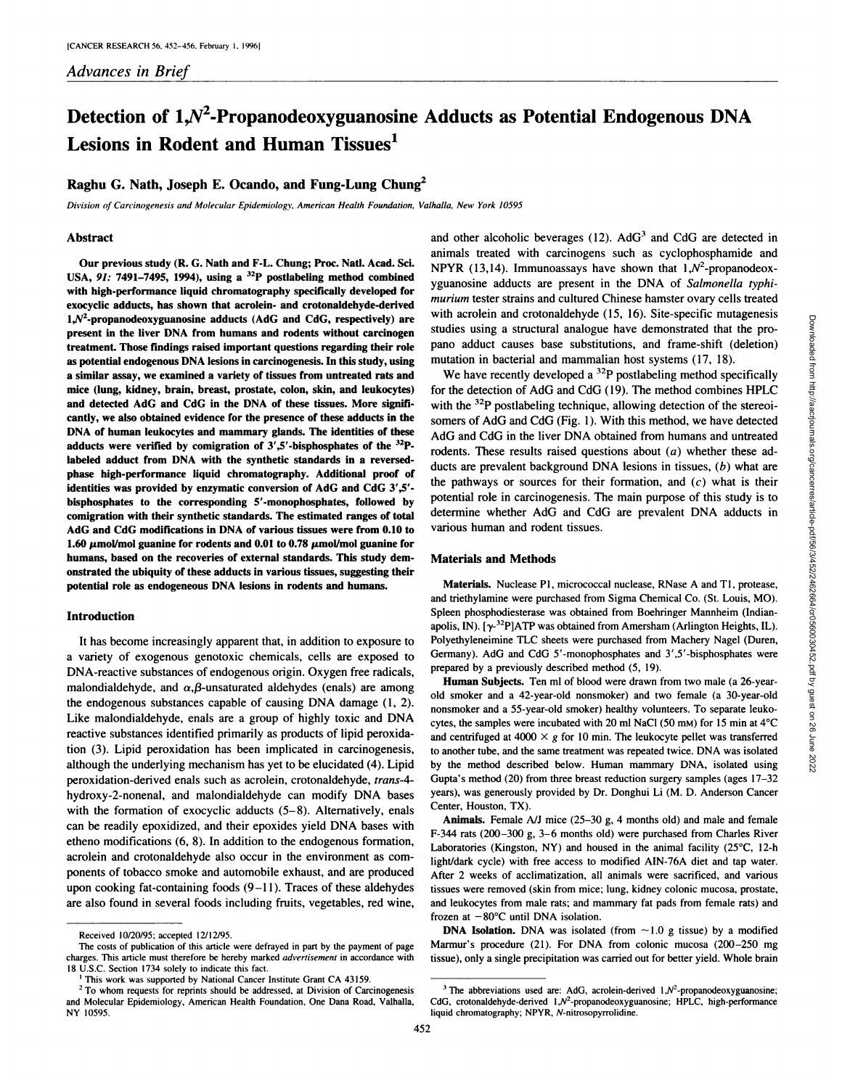# **Detection of 1,N2-Propanodeoxyguanosine Adducts as Potential Endogenous DNA Lesions in Rodent and Human Tissues'**

## **Raghu G. Nath, Joseph E. Ocando, and Fung-Lung Chune**

*Division of Carcinogenesis and Molecular Epidemiology, American Health Foundation, Valhalla, New York 10595*

#### **Abstract**

**Our previous study (R. G. Nath and F-L. Chung; Proc. Nail. Acad. Sci. USA, 91: 7491—7495, 1994), using a 32P postlabeling method combined** with high-performance liquid chromatography specifically developed for exocyclic adducts, has shown that acrolein- and crotonaldehyde-derived  $1, N^2$ -propanodeoxyguanosine adducts (AdG and CdG, respectively) are present in the liver DNA from humans and rodents without carcinogen **treatment. Those findings raised important questions regarding their role** as potential endogenous DNA lesions in carcinogenesis. In this study, using **a similar assay, we examined a variety of tissues from untreated rats and mice (lung, kidney, brain, breast, prostate, colon, skin, and leukocytes) and detected AdG and CdG in the DNA of these tissues. More signifi** cantly, we also obtained evidence for the presence of these adducts in the **DNA of human leukocytes and mammary glands. The identities of these** adducts were verified by comigration of  $3'$ ,  $5'$ -bisphosphates of the  $32P$ labeled adduct from DNA with the synthetic standards in a reversed phase high-performance liquid chromatography. Additional proof of identities was provided by enzymatic conversion of AdG and CdG 3',5'bisphosphates to the corresponding 5'-monophosphates, followed by comigration with their synthetic standards. The estimated ranges of total **AdG and CdG modifications in DNA of various tissues were from 0.10 to** 1.60  $\mu$ mol/mol guanine for rodents and 0.01 to 0.78  $\mu$ mol/mol guanine for humans, based on the recoveries of external standards. This study dem onstrated the ubiquity of these adducts in various tissues, suggesting their potential role as endogeneous DNA lesions in rodents and humans.

## **Introduction**

It has become increasingly apparent that, in addition to exposure to a variety of exogenous genotoxic chemicals, cells are exposed to DNA-reactive substances of endogenous origin. Oxygen free radicals, malondialdehyde, and  $\alpha$ , $\beta$ -unsaturated aldehydes (enals) are among the endogenous substances capable of causing DNA damage (1, 2). Like malondialdehyde, enals are a group of highly toxic and DNA reactive substances identified primarily as products of lipid peroxida tion (3). Lipid peroxidation has been implicated in carcinogenesis, although the underlying mechanism has yet to be elucidated (4). Lipid peroxidation-derived enals such as acrolein, crotonaldehyde, trans-4 hydroxy-2-nonenal, and malondialdehyde can modify DNA bases with the formation of exocyclic adducts  $(5-8)$ . Alternatively, enals can be readily epoxidized, and their epoxides yield DNA bases with etheno modifications (6, 8). In addition to the endogenous formation, acrolein and crotonaldehyde also occur in the environment as components of tobacco smoke and automobile exhaust, and are produced upon cooking fat-containing foods (9—11). Traces of these aldehydes are also found in several foods including fruits, vegetables, red wine,

and other alcoholic beverages (12). AdG<sup>3</sup> and CdG are detected in animals treated with carcinogens such as cyclophosphamide and NPYR (13,14). Immunoassays have shown that  $1, N^2$ -propanodeoxyguanosine adducts are present in the DNA of Salmonella typhi*murium tester strains and cultured Chinese hamster ovary cells treated* with acrolein and crotonaldehyde (15, 16). Site-specific mutagenesis pano adduct causes base substitutions, and frame-shift (deletion) mutation in bacterial and mammalian host systems (17, 18).

win a colorial condition and consideration of the structural analogue have demonstrated that the pro-<br>studies using a structural analogue have demonstrated that the pro-<br>mano adduct causes base substitutions, and frame-sh We have recently developed a  $^{32}P$  postlabeling method specifically for the detection of AdG and CdG (19). The method combines HPLC with the <sup>32</sup>P postlabeling technique, allowing detection of the stereoisomers of AdG and CdG (Fig. 1). With this method, we have detected AdG and CdG in the liver DNA obtained from humans and untreated rodents. These results raised questions about  $(a)$  whether these adducts are prevalent background DNA lesions in tissues, (b) what are the pathways or sources for their formation, and  $(c)$  what is their potential role in carcinogenesis. The main purpose of this study is to determine whether AdG and CdG are prevalent DNA adducts in various human and rodent tissues.

## Materials and Methods

Materials. Nuclease P1, micrococcal nuclease, RNase A and T1, protease, and triethylamine were purchased from Sigma Chemical Co. (St. Louis, MO). Spleen phosphodiesterase was obtained from Boehringer Mannheim (Indian apolis, IN).  $[\gamma^{32}P]$ ATP was obtained from Amersham (Arlington Heights, IL). Polyethyleneimine TLC sheets were purchased from Machery Nagel (Duren, Germany). AdG and CdG 5'-monophosphates and 3',5'-bisphosphates were prepared by a previously described method (5, 19).

Human Subjects. Ten ml of blood were drawn from two male (a 26-yearold smoker and a 42-year-old nonsmoker) and two female (a 30-year-old nonsmoker and a 55-year-old smoker) healthy volunteers. To separate leuko cytes, the samples were incubated with 20 ml NaCl (50 mM) for 15 min at  $4^{\circ}$ C and centrifuged at 4000  $\times$  g for 10 min. The leukocyte pellet was transferred **to another tube, and the same treatment was repeated twice. DNA was isolated** by the method described below. Human mammary DNA, isolated using **Gupta's method (20) from three breast reduction surgery samples (ages 17—32** years), was generously provided by Dr. Donghui Li (M. D. Anderson Cancer Center, Houston, TX).

Animals. Female  $A/J$  mice (25–30 g, 4 months old) and male and female F-344 rats (200—300g, 3—6months old) were purchased from Charles River Laboratories (Kingston, NY) and housed in the animal facility (25°C, 12-h light/dark cycle) with free access to modified AIN-76A diet and tap water. **After 2 weeks of acclimatization, all animals were sacrificed, and various** tissues were removed (skin from mice; lung, kidney colonic mucosa, prostate, and leukocytes from male rats; and mammary fat pads from female rats) and **frozen at —80°C until DNA isolation.**

**DNA Isolation.** DNA was isolated (from  $\sim$  1.0 g tissue) by a modified **Marmur's procedure (21). For DNA from colonic mucosa (200—250 mg** tissue), only a single precipitation was carried out for better yield. Whole brain

452

Received I0/20/95; accepted I2/12/95.

The costs of publication of this article were defrayed in part by the payment of page charges. This article must therefore be hereby marked advertisement in accordance with 18 U.S.C. Section 1734 solely to indicate this fact.

This work was supported by National Cancer Institute Grant CA 43159.

<sup>&</sup>lt;sup>2</sup> To whom requests for reprints should be addressed, at Division of Carcinogenesis and Molecular Epidemiology, American Health Foundation, One Dana Road, Valhalla, NY 10595.

**<sup>3</sup> The abbreviations used are: AdG, acrolein-denved 1,N2-propanodeoxyguanosine;** CdG, crotonaldehyde-derived  $1, N^2$ -propanodeoxyguanosine; HPLC, high-performance liquid chromatography; NPYR, N-nitrosopyrrolidine.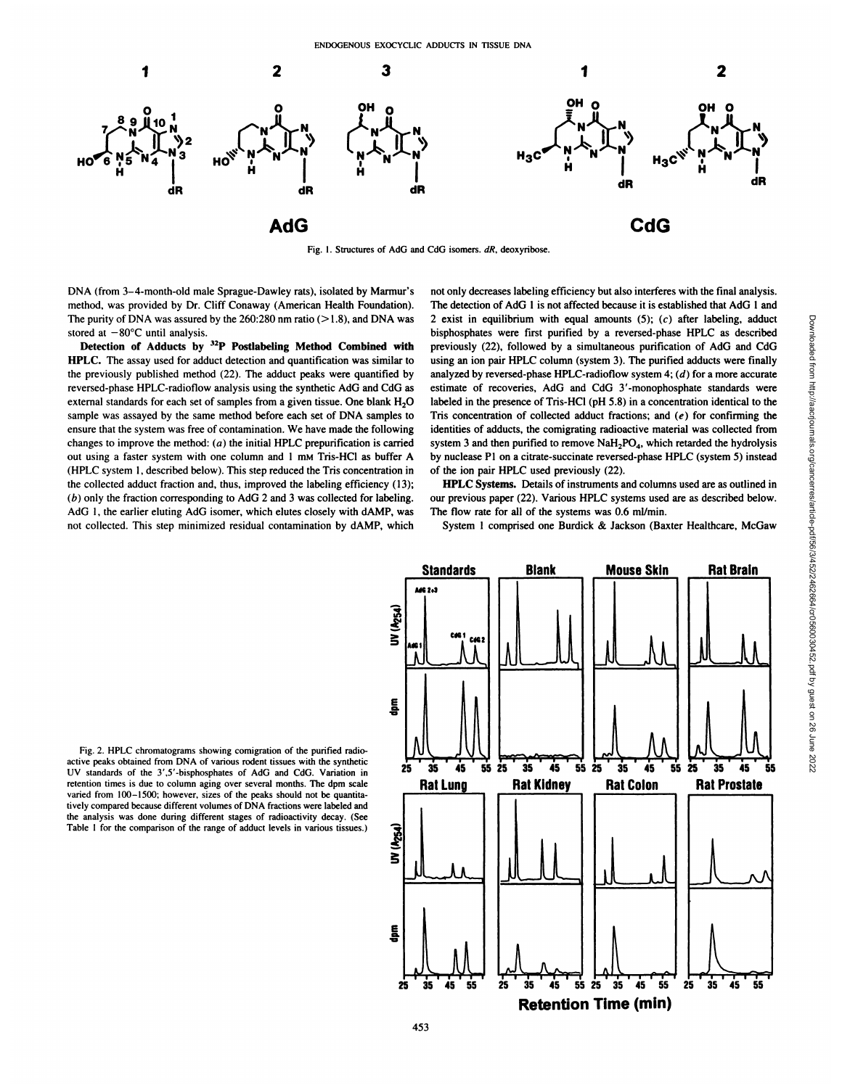

Fig. 1. Structures of AdG and CdG isomers. dR, deoxyribose.

DNA (from 3—4-month-old male Sprague-Dawley rats), isolated by Marmur's method, was provided by Dr.Cliff Conaway (American Health Foundation). The purity of DNA was assured by the  $260:280$  nm ratio ( $>1.8$ ), and DNA was stored at  $-80^{\circ}$ C until analysis.

Detection of Adducts by 32P Postlabeling Method Combined with HPLC. The assay used for adduct detection and quantification was similar to the previously published method (22). The adduct peaks were quantified by reversed-phase HPLC-radioflow analysis using the synthetic AdG and CdG as external standards for each set of samples from a given tissue. One blank  $H_2O$ sample was assayed by the same method before each set of DNA samples to ensure that the system was free of contamination. We have made the following changes to improve the method:  $(a)$  the initial HPLC prepurification is carried **out using a faster system with one column and 1 mM Tris-HC1 as buffer A** (HPLC system 1, described below). This step reduced the Tris concentration in the collected adduct fraction and, thus, improved the labeling efficiency (13);  $(b)$  only the fraction corresponding to AdG 2 and 3 was collected for labeling. AdG I, the earlier eluting AdG isomer, which elutes closely with dAMP, was not collected. This step minimized residual contamination by dAMP, which

not only decreaseslabeling efficiency but also interferes with the final analysis. The detection of AdG 1 is not affected because it is established that AdG 1 and 2 exist in equilibrium with equal amounts  $(5)$ ;  $(c)$  after labeling, adduct bisphosphates were first purified by a reversed-phase HPLC as described previously (22), followed by a simultaneous purification of AdG and CdG using an ion pair HPLC column (system 3). The purified adducts were finally **analyzed by reversed-phase HPLC-radioflow system 4; (d) for a more accurate** estimate of recoveries, AdG and CdG 3'-monophosphate standards were labeled in the presence of Tris-HC1 (pH 5.8) in a concentration identical to the Tris concentration of collected adduct fractions; and  $(e)$  for confirming the identities of adducts, the comigrating radioactive material was collected from system 3 and then purified to remove  $\text{NaH}_2\text{PO}_4$ , which retarded the hydrolysis by nuclease P1 on a citrate-succinate reversed-phase HPLC (system 5) instead of the ion pair HPLC used previously (22).

HPLC Systems. Details of instruments and columns used are as outlined in our previous paper (22). Various HPLC systems used are as described below. The flow rate for all of the systems was 0.6 ml/min.

**System 1comprised one Burdick & Jackson (Baxter Healthcare, McGaw**

Fig. 2. HPLC chromatograms showing comigration of the purified radio active peaks obtained from DNA of various rodent tissues with the synthetic active peaks obtained from DIVA of various fouem ussues with the symmetric<br>UV standards of the 3',5'-bisphosphates of AdG and CdG. Variation in retention times is due to column aging over several months. The dpm scale varied from 100-1500; however, sizes of the peaks should not be quantitatively compared because different volumes of DNA fractions were labeled and the analysis was done during different stages of radioactivity decay. (See Table 1 for the comparison of the range of adduct levels in various tissues.) Table I for the comparison of the range of adduct levels in various tissues.)

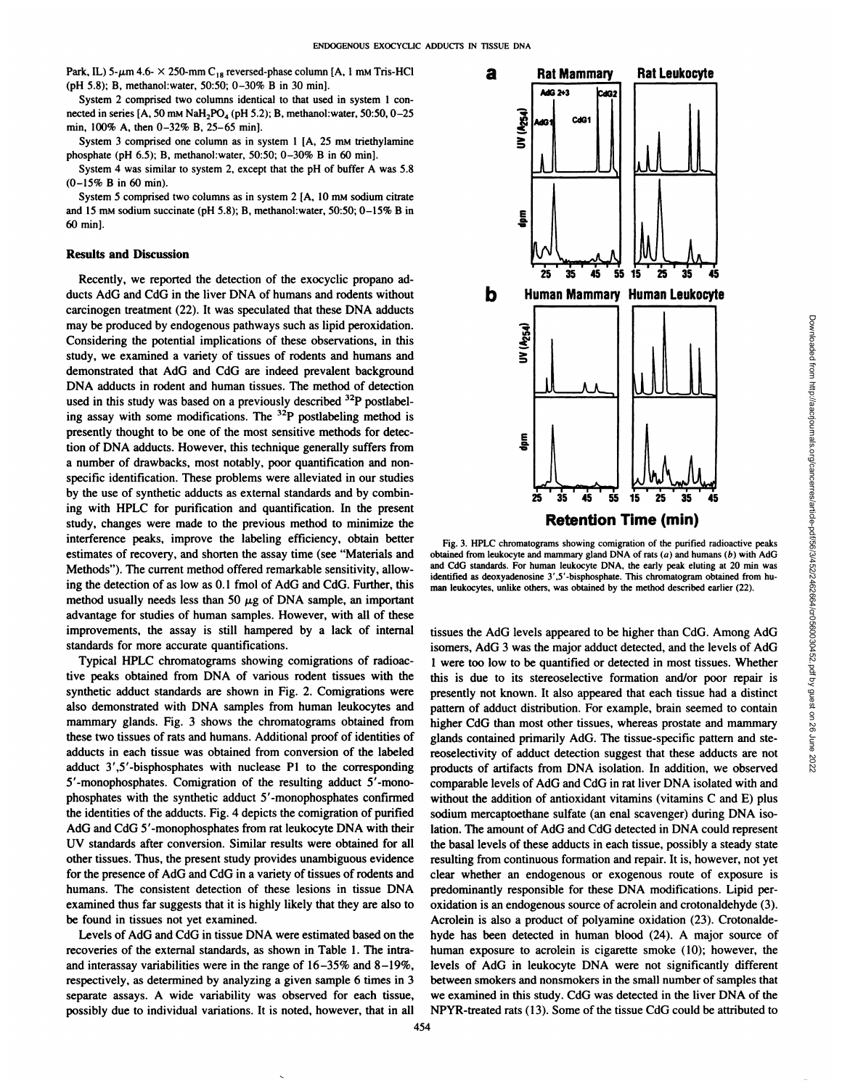Park, IL) 5- $\mu$ m 4.6-  $\times$  250-mm C<sub>18</sub> reversed-phase column [A, 1 mm Tris-HCl] (pH 5.8); B, methanol:water, 50:50; 0-30% B in 30 min].

System 2 comprised two columns identical to that used in system 1 con nected in series  $[A, 50 \text{ mM } \text{NaH}_2PO_4(pH 5.2); B, \text{ methanol:water}, 50:50, 0-25]$ min, 100% A, then 0-32% B, 25-65 min).

System 3 comprised one column as in system  $1 \nvert A$ , 25 mm triethylamine **phosphate (pH 6.5); B, methanol:water, 50:50; 0—30% B in 60 mm].**

**System 4 was similar to system 2, except that the pH of buffer A was 5.8**  $(0-15\% \text{ B in } 60 \text{ min}).$ 

System 5 comprised two columns as in system 2 [A, 10 mM sodium citrate and 15 mm sodium succinate (pH 5.8); B, methanol:water, 50:50; 0-15% B in 60 min].

## Results and Discussion

Recently, we reported the detection of the exocyclic propano ad ducts AdG and CdG in the liver DNA of humans and rodents without carcinogen treatment (22). It was speculated that these DNA adducts may be produced by endogenous pathways such as lipid peroxidation. Considering the potential implications of these observations, in this study, we examined a variety of tissues of rodents and humans and demonstrated that AdG and CdG are indeed prevalent background **DNA adducts in rodent and human tissues. The method of detection** used in this study was based on a previously described  $32P$  postlabeling assay with some modifications. The 32P postlabeling method is presently thought to be one of the most sensitive methods for detec tion of DNA adducts. However, this technique generally suffers from a number of drawbacks, most notably, poor quantification and non specific identification. These problems were alleviated in our studies by the use of synthetic adducts as external standards and by combin ing with HPLC for purification and quantification. In the present study, changes were made to the previous method to minimize the interference peaks, improve the labeling efficiency, obtain better estimates of recovery, and shorten the assay time (see "Materials and Methods"). The current method offered remarkable sensitivity, allowing the detection of as low as 0.1 fmol of AdG and CdG. Further, this method usually needs less than 50  $\mu$ g of DNA sample, an important advantage for studies of human samples. However, with all of these improvements, the assay is still hampered by a lack of internal standards for more accurate quantifications.

Typical HPLC chromatograms showing comigrations of radioac tive peaks obtained from DNA of various rodent tissues with the synthetic adduct standards are shown in Fig. 2. Comigrations were also demonstrated with DNA samples from human leukocytes and mammary glands. Fig. 3 shows the chromatograms obtained from these two tissues of rats and humans. Additional proof of identities of adducts in each tissue was obtained from conversion of the labeled adduct 3',5'-bisphosphates with nuclease P1 to the corresponding 5'-monophosphates. Comigration of the resulting adduct 5'-mono phosphates with the synthetic adduct 5'-monophosphates confirmed the identities of the adducts. Fig. 4 depicts the comigration of purified **AdO and CdG 5'-monophosphates from rat leukocyte DNA with their** UV standards after conversion. Similar results were obtained for all other tissues. Thus, the present study provides unambiguous evidence for the presence of AdG and CdG in avariety of tissues of rodents and humans. The consistent detection of these lesions in tissue DNA examined thus far suggests that it is highly likely that they are also to be found in tissues not yet examined.

Levels of AdG and CdG in tissue DNA were estimated based on the recoveries of the external standards, as shown in Table 1.The intra and interassay variabilities were in the range of  $16-35\%$  and  $8-19\%$ , respectively, as determined by analyzing a given sample 6 times in 3 separate assays. A wide variability was observed for each tissue, possibly due to individual variations. It is noted, however, that in all



Fig. 3. HPLC chromatograms showing comigration of the purified radioactive peaks and CdG standards. For human leukocyte DNA, the early peak eluting at 20 min was identified as deoxyadenosine 3',S'-bisphosphate. This chromatogram obtained from hu man leukocytes, unlike others, was obtained by the method described earlier (22).

tissues the AdG levels appeared to be higher than CdG. Among AdG isomers, AdG 3 was the major adduct detected, and the levels of AdG 1 were too low to be quantified or detected in most tissues. Whether this is due to its stereoselective formation and/or poor repair is presently not known. It also appeared that each tissue had a distinct pattern of adduct distribution. For example, brain seemed to contain higher CdG than most other tissues, whereas prostate and mammary glands contained primarily AdG. The tissue-specific pattern and ste reoselectivity of adduct detection suggest that these adducts are not products of artifacts from DNA isolation. In addition, we observed comparable levels of AdG and CdG in rat liver DNA isolated with and without the addition of antioxidant vitamins (vitamins C and E) plus sodium mercaptoethane sulfate (an enal scavenger) during DNA iso lation. The amount of AdG and CdG detected in DNA could represent the basal levels of these adducts in each tissue, possibly a steady state resulting from continuous formation and repair. It is, however, not yet clear whether an endogenous or exogenous route of exposure is predominantly responsible for these DNA modifications. Lipid per oxidation is an endogenous source of acrolein and crotonaldehyde (3). Acrolein is also a product of polyamine oxidation (23). Crotonalde hyde has been detected in human blood (24). A major source of human exposure to acrolein is cigarette smoke (10); however, the levels of AdG in leukocyte DNA were not significantly different between smokers and nonsmokers in the small number of samples that we examined in this study. CdG was detected in the liver DNA of the NPYR-treated rats (13). Some of the tissue CdG could be attributed to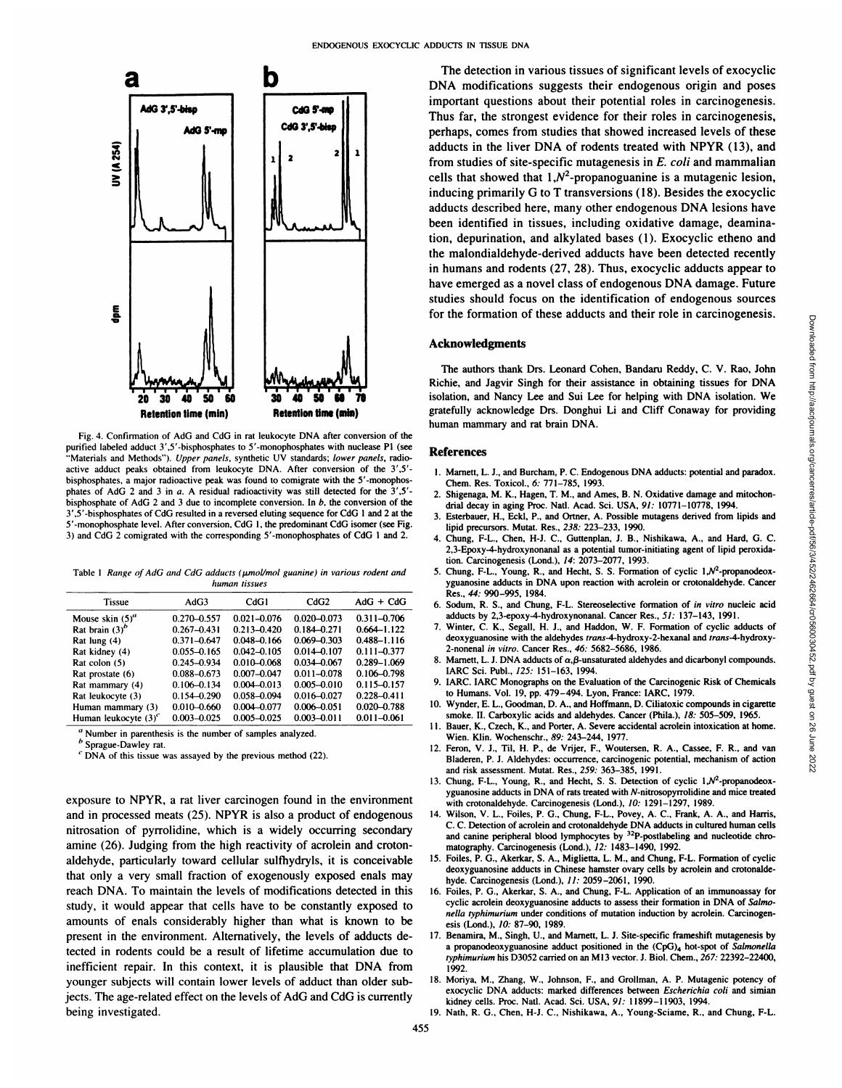

Fig. 4. Confirmation of AdG and CdG in rat leukocyte DNA after conversion of the purified labeled adduct 3',5'-bisphosphates to 5'-monophosphates with nuclease P1 (see "Materials and Methods"). Upper panels, synthetic UV standards; lower panels, radioactive adduct peaks obtained from leukocyte DNA. After conversion of the 3',5'bisphosphates, a major radioactive peak was found to comigrate with the 5'-monophos phates of AdG 2 and 3 in a. A residual radioactivity was still detected for the 3',S' bisphosphate of AdG 2 and 3 due to incomplete conversion. In  $b$ , the conversion of the  $3'$ , 5'-bisphosphates of CdG resulted in a reversed eluting sequence for CdG 1 and 2 at the  $3$ 5'-monophosphate level. After conversion, CdG 1, the predominant CdG isomer (see Fig. 3) and CdG 2 comigrated with the corresponding 5'-monophosphates of CdG 1 and 2.

Table 1 Range of AdG and CdG adducts (umol/mol guanine) in various rodent and *human tissues*

| <b>Tissue</b>           | AdG <sub>3</sub> | CdG1            | CdG2            | $AdG + CdG$     |
|-------------------------|------------------|-----------------|-----------------|-----------------|
| Mouse skin $(5)^a$      | $0.270 - 0.557$  | $0.021 - 0.076$ | $0.020 - 0.073$ | $0.311 - 0.706$ |
| Rat brain $(3)^p$       | $0.267 - 0.431$  | $0.213 - 0.420$ | $0.184 - 0.271$ | $0.664 - 1.122$ |
| Rat lung (4)            | $0.371 - 0.647$  | $0.048 - 0.166$ | $0.069 - 0.303$ | $0.488 - 1.116$ |
| Rat kidney (4)          | $0.055 - 0.165$  | $0.042 - 0.105$ | $0.014 - 0.107$ | $0.111 - 0.377$ |
| Rat colon (5)           | 0.245-0.934      | $0.010 - 0.068$ | $0.034 - 0.067$ | 0.289-1.069     |
| Rat prostate (6)        | $0.088 - 0.673$  | $0.007 - 0.047$ | $0.011 - 0.078$ | $0.106 - 0.798$ |
| Rat mammary (4)         | $0.106 - 0.134$  | $0.004 - 0.013$ | $0.005 - 0.010$ | $0.115 - 0.157$ |
| Rat leukocyte (3)       | $0.154 - 0.290$  | 0.058-0.094     | $0.016 - 0.027$ | $0.228 - 0.411$ |
| Human mammary (3)       | $0.010 - 0.660$  | 0.004-0.077     | $0.006 - 0.051$ | $0.020 - 0.788$ |
| Human leukocyte $(3)^c$ | $0.003 - 0.025$  | $0.005 - 0.025$ | $0.003 - 0.011$ | $0.011 - 0.061$ |
|                         |                  |                 |                 |                 |

**a Number in parenthesis is the number of samples analyzed.**

**b Sprague-Dawley rat.**

*C DNA of this tissue was assayed by the previous method (22).*

exposure to NPYR, a rat liver carcinogen found in the environment and in processed meats (25). NPYR is also a product of endogenous nitrosation of pyrrolidine, which is a widely occurring secondary amine (26). Judging from the high reactivity of acrolein and croton aldehyde, particularly toward cellular sulfhydryls, it is conceivable that only a very small fraction of exogenously exposed enals may reach DNA. To maintain the levels of modifications detected in this study, it would appear that cells have to be constantly exposed to **amounts of enals considerably higher than what is known to be present in the environment. Alternatively, the levels of adducts de** tected in rodents could be a result of lifetime accumulation due to **inefficient repair. In this context, it is plausible that DNA from younger subjects will contain lower levels of adduct than older sub** jects. The age-related effect on the levels of AdG and CdG is currently being investigated.

The detection in various tissues of significant levels of exocyclic DNA modifications suggests their endogenous origin and poses important questions about their potential roles in carcinogenesis. Thus far, the strongest evidence for their roles in carcinogenesis, perhaps, comes from studies that showed increased levels of these adducts in the liver DNA of rodents treated with NPYR (13), and from studies of site-specific mutagenesis in E. coli and mammalian cells that showed that  $1, N^2$ -propanoguanine is a mutagenic lesion, inducing primarily G to T transversions (18). Besides the exocyclic adducts described here, many other endogenous DNA lesions have been identified in tissues, including oxidative damage, deamina tion, depurination, and alkylated bases (1). Exocyclic etheno and the malondialdehyde-derived adducts have been detected recently in humans and rodents (27, 28). Thus, exocyclic adducts appear to have emerged as a novel class of endogenous DNA damage. Future studies should focus on the identification of endogenous sources for the formation of these adducts and their role in carcinogenesis.

## Acknowledgments

Figure 1.1. The authors of these acqueus and their fore in cancinogeness.<br>
The authors thank Drs. Leonard Cohen, Bandaru Reddy, C. V. Rao, John<br>
The authors thank Drs. Leonard Cohen, Bandaru Reddy, C. V. Rao, John<br>
The aut Richie, and Jagvir Singh for their assistance in obtaining tissues for DNA isolation, and Nancy Lee and Sui Lee for helping with DNA isolation. We gratefully acknowledge Drs. Donghui Li and Cliff Conaway for providing human mammary and rat brain DNA.

#### **References**

- I. Marnett, L. J., and Burcham, P. C. Endogenous DNA adducts: potential and paradox. Chem. Res. Toxicol., 6: 771—785, 1993.
- 2. Shigenaga, M. K., Hagen, T. M., and Ames, B. N. Oxidative damage and mitochon drial decay in aging Proc. Natl. Acad. Sci. USA, 91: 10771-10778, 1994.
- 3. Esterbauer, H., EckI, P., and Ortner, A. Possible mutagens derived from lipids and lipid precursors. Mutat. Res., 238: 223—233,1990.
- 4. Chung, F-L., Chen, H-i. C., Guttenplan, J. B., Nishikawa, A., and Hard, G. C. 2,3-Epoxy-4-hydroxynonanal as a potential tumor-initiating agent of lipid peroxida tion. Carcinogenesis (Lond.), 14: 2073—2077,1993.
- 5. Chung, F-L., Young, R., and Hecht, S. S. Formation of cyclic  $1, N^2$ -propanodeoxyguanosine adducts in DNA upon reaction with acrolein or crotonaldehyde. Cancer Res., 44: 990-995, 1984.
- 6. Sodum, R. S., and Chung, F-L. Stereoselective formation of in vitro nucleic acid adducts by 2,3-epoxy-4-hydroxynonanal. Cancer Res., 51: 137-143, 1991.
- 7. Winter, C. K., Segall, H. J., and Haddon, W. F. Formation of cyclic adducts of deoxyguanosine with the aldehydes trans-4-hydroxy-2-hexanal and trans-4-hydroxy-2-nonenal in vitro. Cancer Res., 46: 5682—5686,1986.
- 8. Marnett, L. J. DNA adducts of  $\alpha$ ,  $\beta$ -unsaturated aldehydes and dicarbonyl compounds. IARC Sci. Publ., 125: 151—163,1994.
- 9. IARC. IARC Monographs on the Evaluation of the Carcinogenic Risk of Chemicals **to Humans. Vol. 19, pp. 479—494.Lyon, France: IARC, 1979.**
- 10. Wynder, E. L., Goodman, D. A., and Hoffmann, D. Ciliatoxic compounds in cigarette smoke. II. Carboxylic acids and aldehydes. Cancer (Phila.), 18: 505—509, 1965.
- I 1. Bauer, K., Czech, K., and Porter, A. Severe accidental acrolein intoxication at home. Wien. Klin. Wochenschr., 89: 243–244, 1977.
- 12. Feron, V. I., Til, H. P., de Vrijer, F., Woutersen, R. A., Cassee, F. R., and van Bladeren, P. J. Aldehydes: occurrence, carcinogenic potential, mechanism of action and risk assessment. Mutat. Res., 259: 363—385,1991.
- 13. Chung, F-L., Young, R., and Hecht, S. S. Detection of cyclic  $1, N^2$ -propanodeoxyguanosine adducts in DNA of rats treated with N-nitrosopyrrolidine and mice treated with crotonaldehyde. Carcinogenesis (Lond.), 10: 1291-1297, 1989.
- 14. Wilson, V. L., Foiles, P. G., Chung, F-L.. Povey, A. C., Frank, A. A., and Harris, C. C. Detection of acrolein and crotonaldehyde DNA adducts in cultured human cells and canine peripheral blood lymphocytes by <sup>32</sup>P-postlabeling and nucleotide chro**matography. Carcinogenesis (Lond.), 12: 1483—1490,1992.**
- 15. Foiles, P. G., Akerkar, S. A., Miglietta, L. M., and Chung, F-L. Formation of cyclic deoxyguanosine adducts in Chinese hamster ovary cells by acrolein and crotonalde hyde. Carcinogenesis (Lond.), 11: 2059-2061, 1990.
- 16. Foiles, P. G., Akerkar, S. A., and Chung, F-L. Application of an immunoassay for cyclic acrolein deoxyguanosine adducts to assess their formation in DNA of Salmo*nella typhimurium under conditions of mutation induction by acrolein. Carcinogen* esis (Lond.), 10: 87—90,1989.
- 17. Benamira, M., Singh, U., and Marnett, L. 3. Site-specific frameshift mutagenesis by a propanodeoxyguanosine adduct positioned in the (CpG)<sub>4</sub> hot-spot of Salmonella *typhimurium his D3052 carried on an Ml3 vector. J. Biol. Chem., 267: 22392—22400,* 1992.
- 18. Moriya, M., Zhang, W., Johnson, F., and Grollman, A. P. Mutagenic potency of exocyclic DNA adducts: marked differences between Escherichia coli and simian kidney cells. Proc. Nail. Acad. Sci. USA, 91: 11899—11903, 1994.
- 19. Nath, R. G., Chen, H-J. C., Nishikawa, A., Young-Sciame, R., and Chung, F-L.